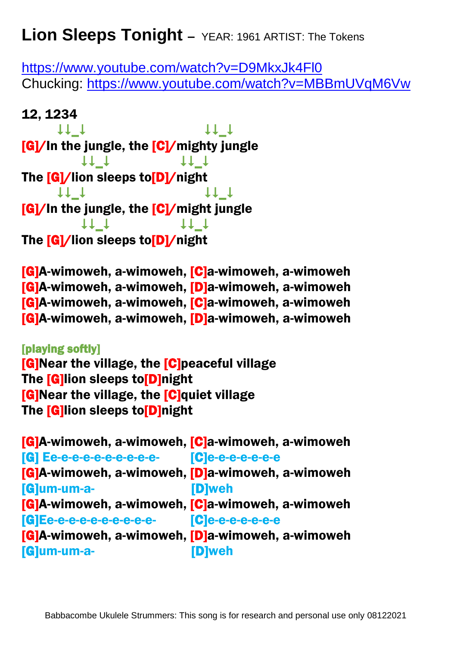## **Lion Sleeps Tonight –** YEAR: 1961 ARTIST: The Tokens

<https://www.youtube.com/watch?v=D9MkxJk4Fl0> Chucking:<https://www.youtube.com/watch?v=MBBmUVqM6Vw>

## 12, 1234

 $\begin{array}{ccc}\n\text{11} & \text{11} & \text{11}\n\end{array}$ [G]/In the jungle, the [C]/mighty jungle  $+1$   $+$ The [G]/lion sleeps to<sup>[D]/night</sup>  $\begin{array}{ccc}\n\uparrow \downarrow & \downarrow & \downarrow & \downarrow & \downarrow & \downarrow\n\end{array}$ [G]/In the jungle, the [C]/might jungle  $+1$   $+1$ The [G]/lion sleeps to[D]/night

[G]A-wimoweh, a-wimoweh, [C]a-wimoweh, a-wimoweh [G]A-wimoweh, a-wimoweh, [D]a-wimoweh, a-wimoweh [G]A-wimoweh, a-wimoweh, [C]a-wimoweh, a-wimoweh [G]A-wimoweh, a-wimoweh, [D]a-wimoweh, a-wimoweh

[playing softly] [G]Near the village, the [C]peaceful village The [G]lion sleeps to[D]night [G]Near the village, the [C]quiet village The [G]lion sleeps to[D]night

[G]A-wimoweh, a-wimoweh, [C]a-wimoweh, a-wimoweh [G] Ee-e-e-e-e-e-e-e-e-e- [C]e-e-e-e-e-e-e [G]A-wimoweh, a-wimoweh, [D]a-wimoweh, a-wimoweh [G]um-um-a- [D]weh [G]A-wimoweh, a-wimoweh, [C]a-wimoweh, a-wimoweh [G]Ee-e-e-e-e-e-e-e-e-e- [C]e-e-e-e-e-e-e [G]A-wimoweh, a-wimoweh, [D]a-wimoweh, a-wimoweh [G]um-um-a- [D]weh